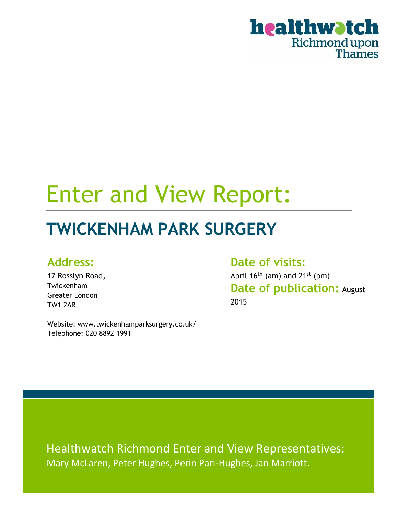

# Enter and View Report:

## **TWICKENHAM PARK SURGERY**

### **Address:**

17 Rosslyn Road, Twickenham Greater London TW1 2AR

Website: www.twickenhamparksurgery.co.uk/ Telephone: 020 8892 1991

**Date of visits:** April  $16<sup>th</sup>$  (am) and  $21<sup>st</sup>$  (pm)

**Date of publication:** August 2015

Healthwatch Richmond Enter and View Representatives: Mary McLaren, Peter Hughes, Perin Pari-Hughes, Jan Marriott.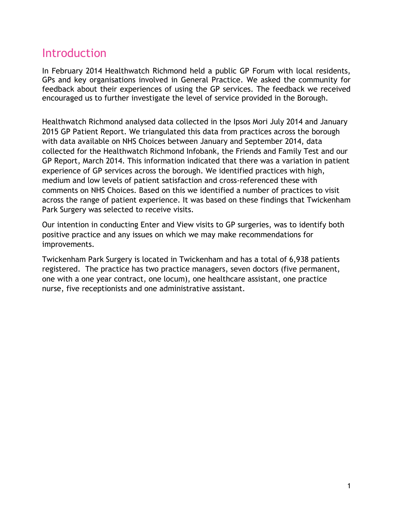### Introduction

In February 2014 Healthwatch Richmond held a public GP Forum with local residents, GPs and key organisations involved in General Practice. We asked the community for feedback about their experiences of using the GP services. The feedback we received encouraged us to further investigate the level of service provided in the Borough.

Healthwatch Richmond analysed data collected in the Ipsos Mori July 2014 and January 2015 GP Patient Report. We triangulated this data from practices across the borough with data available on NHS Choices between January and September 2014, data collected for the Healthwatch Richmond Infobank, the Friends and Family Test and our GP Report, March 2014. This information indicated that there was a variation in patient experience of GP services across the borough. We identified practices with high, medium and low levels of patient satisfaction and cross-referenced these with comments on NHS Choices. Based on this we identified a number of practices to visit across the range of patient experience. It was based on these findings that Twickenham Park Surgery was selected to receive visits.

Our intention in conducting Enter and View visits to GP surgeries, was to identify both positive practice and any issues on which we may make recommendations for improvements.

Twickenham Park Surgery is located in Twickenham and has a total of 6,938 patients registered. The practice has two practice managers, seven doctors (five permanent, one with a one year contract, one locum), one healthcare assistant, one practice nurse, five receptionists and one administrative assistant.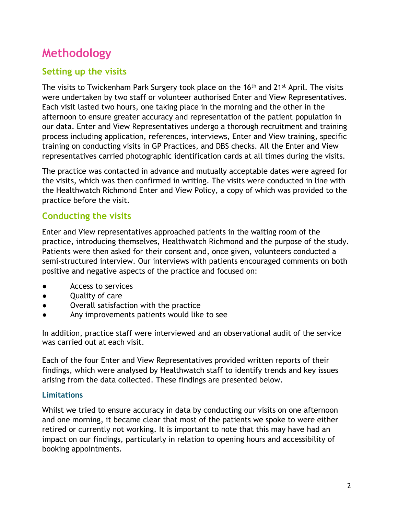### **Methodology**

#### **Setting up the visits**

The visits to Twickenham Park Surgery took place on the 16<sup>th</sup> and 21<sup>st</sup> April. The visits were undertaken by two staff or volunteer authorised Enter and View Representatives. Each visit lasted two hours, one taking place in the morning and the other in the afternoon to ensure greater accuracy and representation of the patient population in our data. Enter and View Representatives undergo a thorough recruitment and training process including application, references, interviews, Enter and View training, specific training on conducting visits in GP Practices, and DBS checks. All the Enter and View representatives carried photographic identification cards at all times during the visits.

The practice was contacted in advance and mutually acceptable dates were agreed for the visits, which was then confirmed in writing. The visits were conducted in line with the Healthwatch Richmond Enter and View Policy, a copy of which was provided to the practice before the visit.

#### **Conducting the visits**

Enter and View representatives approached patients in the waiting room of the practice, introducing themselves, Healthwatch Richmond and the purpose of the study. Patients were then asked for their consent and, once given, volunteers conducted a semi-structured interview. Our interviews with patients encouraged comments on both positive and negative aspects of the practice and focused on:

- Access to services
- Quality of care
- Overall satisfaction with the practice
- Any improvements patients would like to see

In addition, practice staff were interviewed and an observational audit of the service was carried out at each visit.

Each of the four Enter and View Representatives provided written reports of their findings, which were analysed by Healthwatch staff to identify trends and key issues arising from the data collected. These findings are presented below.

#### **Limitations**

Whilst we tried to ensure accuracy in data by conducting our visits on one afternoon and one morning, it became clear that most of the patients we spoke to were either retired or currently not working. It is important to note that this may have had an impact on our findings, particularly in relation to opening hours and accessibility of booking appointments.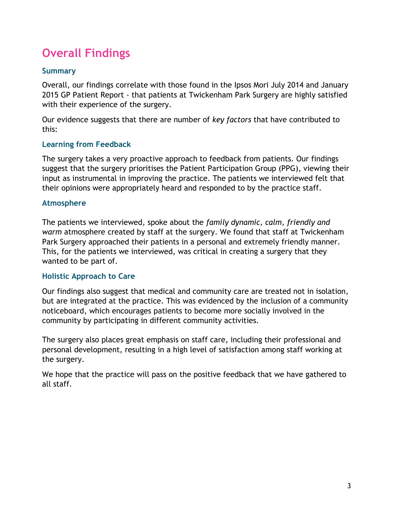### **Overall Findings**

#### **Summary**

Overall, our findings correlate with those found in the Ipsos Mori July 2014 and January 2015 GP Patient Report - that patients at Twickenham Park Surgery are highly satisfied with their experience of the surgery.

Our evidence suggests that there are number of *key factors* that have contributed to this:

#### **Learning from Feedback**

The surgery takes a very proactive approach to feedback from patients. Our findings suggest that the surgery prioritises the Patient Participation Group (PPG), viewing their input as instrumental in improving the practice. The patients we interviewed felt that their opinions were appropriately heard and responded to by the practice staff.

#### **Atmosphere**

The patients we interviewed, spoke about the *family dynamic, calm, friendly and warm* atmosphere created by staff at the surgery. We found that staff at Twickenham Park Surgery approached their patients in a personal and extremely friendly manner. This, for the patients we interviewed, was critical in creating a surgery that they wanted to be part of.

#### **Holistic Approach to Care**

Our findings also suggest that medical and community care are treated not in isolation, but are integrated at the practice. This was evidenced by the inclusion of a community noticeboard, which encourages patients to become more socially involved in the community by participating in different community activities.

The surgery also places great emphasis on staff care, including their professional and personal development, resulting in a high level of satisfaction among staff working at the surgery.

We hope that the practice will pass on the positive feedback that we have gathered to all staff.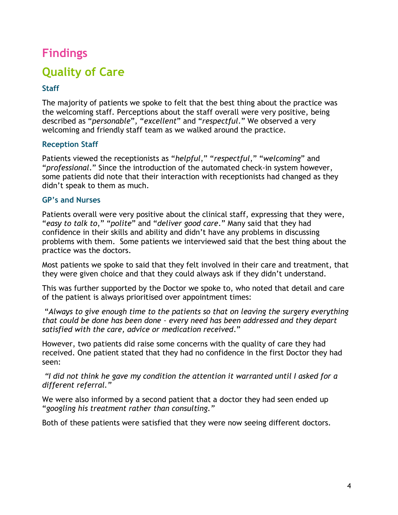### **Findings**

### **Quality of Care**

#### **Staff**

The majority of patients we spoke to felt that the best thing about the practice was the welcoming staff. Perceptions about the staff overall were very positive, being described as "*personable*", "*excellent*" and "*respectful*." We observed a very welcoming and friendly staff team as we walked around the practice.

#### **Reception Staff**

Patients viewed the receptionists as "*helpful*," "*respectful*," "*welcoming*" and "*professional*." Since the introduction of the automated check-in system however, some patients did note that their interaction with receptionists had changed as they didn't speak to them as much.

#### **GP's and Nurses**

Patients overall were very positive about the clinical staff, expressing that they were, "*easy to talk to*," "*polite*" and "*deliver good care*." Many said that they had confidence in their skills and ability and didn't have any problems in discussing problems with them. Some patients we interviewed said that the best thing about the practice was the doctors.

Most patients we spoke to said that they felt involved in their care and treatment, that they were given choice and that they could always ask if they didn't understand.

This was further supported by the Doctor we spoke to, who noted that detail and care of the patient is always prioritised over appointment times:

"*Always to give enough time to the patients so that on leaving the surgery everything that could be done has been done – every need has been addressed and they depart satisfied with the care, advice or medication received*."

However, two patients did raise some concerns with the quality of care they had received. One patient stated that they had no confidence in the first Doctor they had seen:

*"I did not think he gave my condition the attention it warranted until I asked for a different referral."*

We were also informed by a second patient that a doctor they had seen ended up "*googling his treatment rather than consulting."* 

Both of these patients were satisfied that they were now seeing different doctors.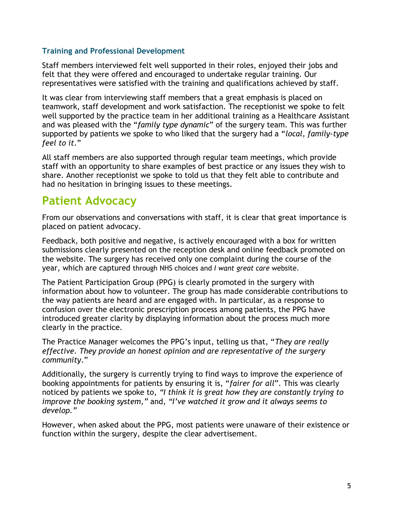#### **Training and Professional Development**

Staff members interviewed felt well supported in their roles, enjoyed their jobs and felt that they were offered and encouraged to undertake regular training. Our representatives were satisfied with the training and qualifications achieved by staff.

It was clear from interviewing staff members that a great emphasis is placed on teamwork, staff development and work satisfaction. The receptionist we spoke to felt well supported by the practice team in her additional training as a Healthcare Assistant and was pleased with the "*family type dynamic*" of the surgery team. This was further supported by patients we spoke to who liked that the surgery had a "*local, family-type feel to it*."

All staff members are also supported through regular team meetings, which provide staff with an opportunity to share examples of best practice or any issues they wish to share. Another receptionist we spoke to told us that they felt able to contribute and had no hesitation in bringing issues to these meetings.

### **Patient Advocacy**

From our observations and conversations with staff, it is clear that great importance is placed on patient advocacy.

Feedback, both positive and negative, is actively encouraged with a box for written submissions clearly presented on the reception desk and online feedback promoted on the website. The surgery has received only one complaint during the course of the year, which are captured through NHS choices and *I want great care* website.

The Patient Participation Group (PPG) is clearly promoted in the surgery with information about how to volunteer. The group has made considerable contributions to the way patients are heard and are engaged with. In particular, as a response to confusion over the electronic prescription process among patients, the PPG have introduced greater clarity by displaying information about the process much more clearly in the practice.

The Practice Manager welcomes the PPG's input, telling us that, "*They are really effective. They provide an honest opinion and are representative of the surgery community*."

Additionally, the surgery is currently trying to find ways to improve the experience of booking appointments for patients by ensuring it is, "*fairer for all*". This was clearly noticed by patients we spoke to, *"I think it is great how they are constantly trying to improve the booking system,"* and*, "I've watched it grow and it always seems to develop."* 

However, when asked about the PPG, most patients were unaware of their existence or function within the surgery, despite the clear advertisement.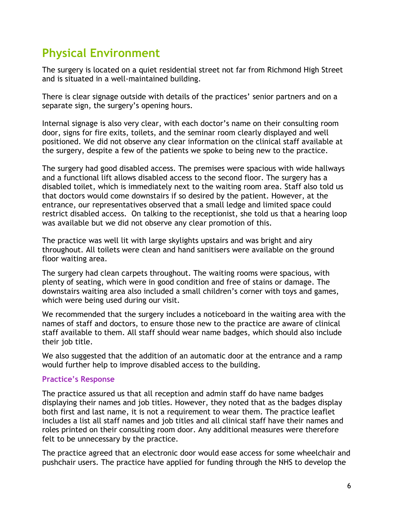### **Physical Environment**

The surgery is located on a quiet residential street not far from Richmond High Street and is situated in a well-maintained building.

There is clear signage outside with details of the practices' senior partners and on a separate sign, the surgery's opening hours.

Internal signage is also very clear, with each doctor's name on their consulting room door, signs for fire exits, toilets, and the seminar room clearly displayed and well positioned. We did not observe any clear information on the clinical staff available at the surgery, despite a few of the patients we spoke to being new to the practice.

The surgery had good disabled access. The premises were spacious with wide hallways and a functional lift allows disabled access to the second floor. The surgery has a disabled toilet, which is immediately next to the waiting room area. Staff also told us that doctors would come downstairs if so desired by the patient. However, at the entrance, our representatives observed that a small ledge and limited space could restrict disabled access. On talking to the receptionist, she told us that a hearing loop was available but we did not observe any clear promotion of this.

The practice was well lit with large skylights upstairs and was bright and airy throughout. All toilets were clean and hand sanitisers were available on the ground floor waiting area.

The surgery had clean carpets throughout. The waiting rooms were spacious, with plenty of seating, which were in good condition and free of stains or damage. The downstairs waiting area also included a small children's corner with toys and games, which were being used during our visit.

We recommended that the surgery includes a noticeboard in the waiting area with the names of staff and doctors, to ensure those new to the practice are aware of clinical staff available to them. All staff should wear name badges, which should also include their job title.

We also suggested that the addition of an automatic door at the entrance and a ramp would further help to improve disabled access to the building.

#### **Practice's Response**

The practice assured us that all reception and admin staff do have name badges displaying their names and job titles. However, they noted that as the badges display both first and last name, it is not a requirement to wear them. The practice leaflet includes a list all staff names and job titles and all clinical staff have their names and roles printed on their consulting room door. Any additional measures were therefore felt to be unnecessary by the practice.

The practice agreed that an electronic door would ease access for some wheelchair and pushchair users. The practice have applied for funding through the NHS to develop the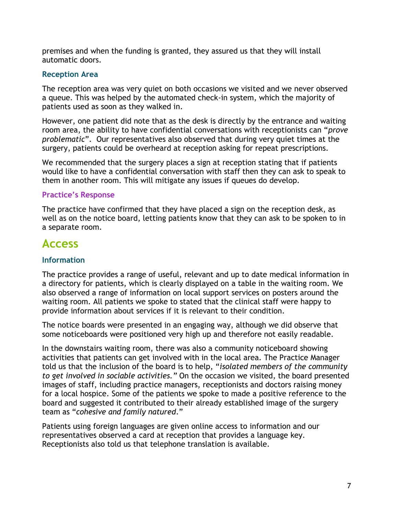premises and when the funding is granted, they assured us that they will install automatic doors.

#### **Reception Area**

The reception area was very quiet on both occasions we visited and we never observed a queue. This was helped by the automated check-in system, which the majority of patients used as soon as they walked in.

However, one patient did note that as the desk is directly by the entrance and waiting room area, the ability to have confidential conversations with receptionists can "*prove problematic*". Our representatives also observed that during very quiet times at the surgery, patients could be overheard at reception asking for repeat prescriptions.

We recommended that the surgery places a sign at reception stating that if patients would like to have a confidential conversation with staff then they can ask to speak to them in another room. This will mitigate any issues if queues do develop.

#### **Practice's Response**

The practice have confirmed that they have placed a sign on the reception desk, as well as on the notice board, letting patients know that they can ask to be spoken to in a separate room.

### **Access**

#### **Information**

The practice provides a range of useful, relevant and up to date medical information in a directory for patients, which is clearly displayed on a table in the waiting room. We also observed a range of information on local support services on posters around the waiting room. All patients we spoke to stated that the clinical staff were happy to provide information about services if it is relevant to their condition.

The notice boards were presented in an engaging way, although we did observe that some noticeboards were positioned very high up and therefore not easily readable.

In the downstairs waiting room, there was also a community noticeboard showing activities that patients can get involved with in the local area. The Practice Manager told us that the inclusion of the board is to help, "*isolated members of the community to get involved in sociable activities."* On the occasion we visited, the board presented images of staff, including practice managers, receptionists and doctors raising money for a local hospice. Some of the patients we spoke to made a positive reference to the board and suggested it contributed to their already established image of the surgery team as "*cohesive and family natured*."

Patients using foreign languages are given online access to information and our representatives observed a card at reception that provides a language key. Receptionists also told us that telephone translation is available.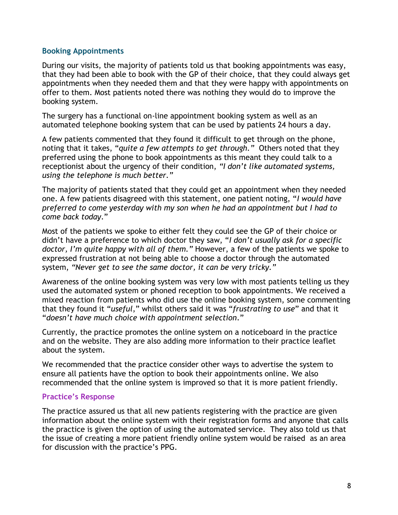#### **Booking Appointments**

During our visits, the majority of patients told us that booking appointments was easy, that they had been able to book with the GP of their choice, that they could always get appointments when they needed them and that they were happy with appointments on offer to them. Most patients noted there was nothing they would do to improve the booking system.

The surgery has a functional on-line appointment booking system as well as an automated telephone booking system that can be used by patients 24 hours a day.

A few patients commented that they found it difficult to get through on the phone, noting that it takes, "*quite a few attempts to get through."* Others noted that they preferred using the phone to book appointments as this meant they could talk to a receptionist about the urgency of their condition, *"I don't like automated systems, using the telephone is much better."*

The majority of patients stated that they could get an appointment when they needed one. A few patients disagreed with this statement, one patient noting, "*I would have preferred to come yesterday with my son when he had an appointment but I had to come back today*."

Most of the patients we spoke to either felt they could see the GP of their choice or didn't have a preference to which doctor they saw, "*I don't usually ask for a specific doctor, I'm quite happy with all of them."* However, a few of the patients we spoke to expressed frustration at not being able to choose a doctor through the automated system, *"Never get to see the same doctor, it can be very tricky."* 

Awareness of the online booking system was very low with most patients telling us they used the automated system or phoned reception to book appointments. We received a mixed reaction from patients who did use the online booking system, some commenting that they found it "*useful*," whilst others said it was "*frustrating to use*" and that it "*doesn't have much choice with appointment selection*."

Currently, the practice promotes the online system on a noticeboard in the practice and on the website. They are also adding more information to their practice leaflet about the system.

We recommended that the practice consider other ways to advertise the system to ensure all patients have the option to book their appointments online. We also recommended that the online system is improved so that it is more patient friendly.

#### **Practice's Response**

The practice assured us that all new patients registering with the practice are given information about the online system with their registration forms and anyone that calls the practice is given the option of using the automated service. They also told us that the issue of creating a more patient friendly online system would be raised as an area for discussion with the practice's PPG.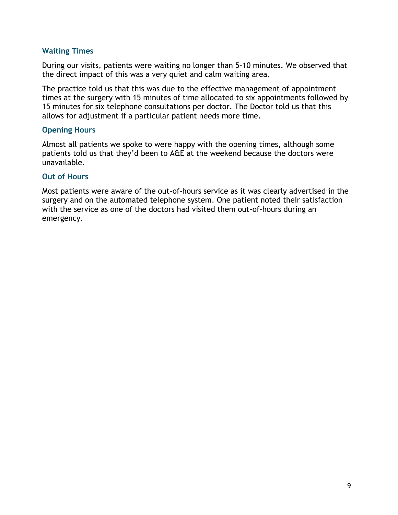#### **Waiting Times**

During our visits, patients were waiting no longer than 5-10 minutes. We observed that the direct impact of this was a very quiet and calm waiting area.

The practice told us that this was due to the effective management of appointment times at the surgery with 15 minutes of time allocated to six appointments followed by 15 minutes for six telephone consultations per doctor. The Doctor told us that this allows for adjustment if a particular patient needs more time.

#### **Opening Hours**

Almost all patients we spoke to were happy with the opening times, although some patients told us that they'd been to A&E at the weekend because the doctors were unavailable.

#### **Out of Hours**

Most patients were aware of the out-of-hours service as it was clearly advertised in the surgery and on the automated telephone system. One patient noted their satisfaction with the service as one of the doctors had visited them out-of-hours during an emergency.